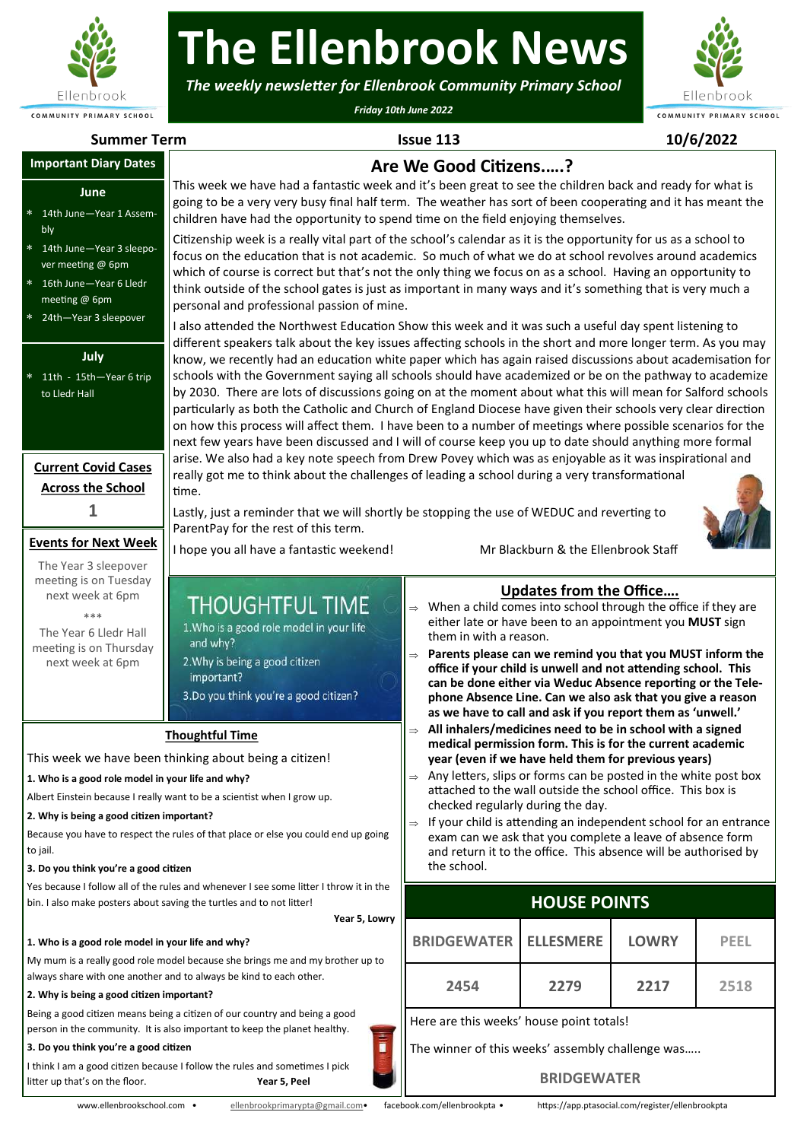

# **The Ellenbrook News**

*The weekly newsletter for Ellenbrook Community Primary School*

*Friday 10th June 2022*



#### **Summer Term Issue 113 10/6/2022 Are We Good Citizens.….?** This week we have had a fantastic week and it's been great to see the children back and ready for what is going to be a very very busy final half term. The weather has sort of been cooperating and it has meant the children have had the opportunity to spend time on the field enjoying themselves. Citizenship week is a really vital part of the school's calendar as it is the opportunity for us as a school to focus on the education that is not academic. So much of what we do at school revolves around academics which of course is correct but that's not the only thing we focus on as a school. Having an opportunity to think outside of the school gates is just as important in many ways and it's something that is very much a personal and professional passion of mine. I also attended the Northwest Education Show this week and it was such a useful day spent listening to different speakers talk about the key issues affecting schools in the short and more longer term. As you may know, we recently had an education white paper which has again raised discussions about academisation for schools with the Government saying all schools should have academized or be on the pathway to academize by 2030. There are lots of discussions going on at the moment about what this will mean for Salford schools particularly as both the Catholic and Church of England Diocese have given their schools very clear direction on how this process will affect them. I have been to a number of meetings where possible scenarios for the next few years have been discussed and I will of course keep you up to date should anything more formal arise. We also had a key note speech from Drew Povey which was as enjoyable as it was inspirational and really got me to think about the challenges of leading a school during a very transformational time. Lastly, just a reminder that we will shortly be stopping the use of WEDUC and reverting to ParentPay for the rest of this term. I hope you all have a fantastic weekend! Mr Blackburn & the Ellenbrook Staff **Updates from the Office….**  $\Rightarrow$  When a child comes into school through the office if they are either late or have been to an appointment you **MUST** sign them in with a reason. **Parents please can we remind you that you MUST inform the office if your child is unwell and not attending school. This can be done either via Weduc Absence reporting or the Telephone Absence Line. Can we also ask that you give a reason as we have to call and ask if you report them as 'unwell.' All inhalers/medicines need to be in school with a signed medical permission form. This is for the current academic year (even if we have held them for previous years)** Any letters, slips or forms can be posted in the white post box attached to the wall outside the school office. This box is checked regularly during the day.  $\Rightarrow$  If your child is attending an independent school for an entrance exam can we ask that you complete a leave of absence form and return it to the office. This absence will be authorised by the school. **Events for Next Week** The Year 3 sleepover meeting is on Tuesday next week at 6pm \*\*\* The Year 6 Lledr Hall meeting is on Thursday next week at 6pm **Current Covid Cases Across the School 1 HOUSE POINTS BRIDGEWATER ELLESMERE LOWRY PEEL BRIDGEWATER ELLESMERE LOWRY PEEL 2454 2279 2217 2518** Here are this weeks' house point totals! The winner of this weeks' assembly challenge was….. **1993 12454**<br> **12318**<br> **12518**<br> **12518**<br> **12518**<br> **12518**<br> **12518**<br> **12518**<br> **12518**<br> **12518**<br> **12518**<br> **12518**<br> **12518**<br> **12518**<br> **12518**<br> **12518**<br> **12518**<br> **12518**<br> **12518**<br> **12518**<br> **12518 Thoughtful Time** This week we have been thinking about being a citizen! **1. Who is a good role model in your life and why?** Albert Einstein because I really want to be a scientist when I grow up. **2. Why is being a good citizen important?** Because you have to respect the rules of that place or else you could end up going to jail. **3. Do you think you're a good citizen** Yes because I follow all of the rules and whenever I see some litter I throw it in the bin. I also make posters about saving the turtles and to not litter! **Year 5, Lowry 1. Who is a good role model in your life and why?** My mum is a really good role model because she brings me and my brother up to always share with one another and to always be kind to each other. **2. Why is being a good citizen important?** Being a good citizen means being a citizen of our country and being a good person in the community. It is also important to keep the planet healthy. **3. Do you think you're a good citizen** I think I am a good citizen because I follow the rules and sometimes I pick **EVALUATE CONSULTERIZE ARE SENSITE AND ARE AN EXAMPLE CONSULTERIZE ARE AN EXAMPLE TO THE CONSULTERIZE IN THE CONSULTERIZE ARE SENSITE AND ARE SENSITE ARE SENSITE AND ARE CONSULTER THE CONSULTERIZE ARE AN EXAMPLE TO THE CON June** 14th June—Year 1 Assembly 14th June—Year 3 sleepover meeting @ 6pm 16th June—Year 6 Lledr meeting @ 6pm 24th—Year 3 sleepover **July** 11th - 15th—Year 6 trip to Lledr Hall

## **BRIDGEWATER**

litter up that's on the floor. **Year 5, Peel**